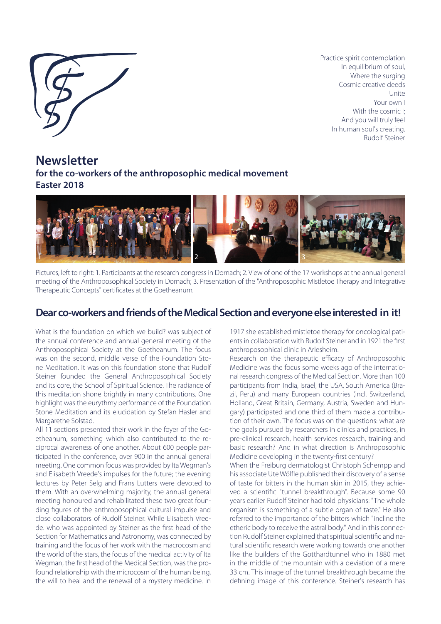

Practice spirit contemplation In equilibrium of soul, Where the surging Cosmic creative deeds Unite Your own I With the cosmic I<sup>-</sup> And you will truly feel In human soul's creating. Rudolf Steiner

**Newsletter for the co-workers of the anthroposophic medical movement Easter 2018**



Pictures, left to right: 1. Participants at the research congress in Dornach; 2. View of one of the 17 workshops at the annual general meeting of the Anthroposophical Society in Dornach; 3. Presentation of the "Anthroposophic Mistletoe Therapy and Integrative Therapeutic Concepts" certificates at the Goetheanum*.*

# **Dear co-workers and friends of the Medical Section and everyone else interested in it!**

What is the foundation on which we build? was subject of the annual conference and annual general meeting of the Anthroposophical Society at the Goetheanum. The focus was on the second, middle verse of the Foundation Stone Meditation. It was on this foundation stone that Rudolf Steiner founded the General Anthroposophical Society and its core, the School of Spiritual Science. The radiance of this meditation shone brightly in many contributions. One highlight was the eurythmy performance of the Foundation Stone Meditation and its elucidation by Stefan Hasler and Margarethe Solstad.

All 11 sections presented their work in the foyer of the Goetheanum, something which also contributed to the reciprocal awareness of one another. About 600 people participated in the conference, over 900 in the annual general meeting. One common focus was provided by Ita Wegman's and Elisabeth Vreede's impulses for the future; the evening lectures by Peter Selg and Frans Lutters were devoted to them. With an overwhelming majority, the annual general meeting honoured and rehabilitated these two great founding figures of the anthroposophical cultural impulse and close collaborators of Rudolf Steiner. While Elisabeth Vreede. who was appointed by Steiner as the first head of the Section for Mathematics and Astronomy, was connected by training and the focus of her work with the macrocosm and the world of the stars, the focus of the medical activity of Ita Wegman, the first head of the Medical Section, was the profound relationship with the microcosm of the human being, the will to heal and the renewal of a mystery medicine. In

1917 she established mistletoe therapy for oncological patients in collaboration with Rudolf Steiner and in 1921 the first anthroposophical clinic in Arlesheim.

Research on the therapeutic efficacy of Anthroposophic Medicine was the focus some weeks ago of the international research congress of the Medical Section. More than 100 participants from India, Israel, the USA, South America (Brazil, Peru) and many European countries (incl. Switzerland, Holland, Great Britain, Germany, Austria, Sweden and Hungary) participated and one third of them made a contribution of their own. The focus was on the questions: what are the goals pursued by researchers in clinics and practices, in pre-clinical research, health services research, training and basic research? And in what direction is Anthroposophic Medicine developing in the twenty-first century?

When the Freiburg dermatologist Christoph Schempp and his associate Ute Wölfle published their discovery of a sense of taste for bitters in the human skin in 2015, they achieved a scientific "tunnel breakthrough". Because some 90 years earlier Rudolf Steiner had told physicians: "The whole organism is something of a subtle organ of taste." He also referred to the importance of the bitters which "incline the etheric body to receive the astral body." And in this connection Rudolf Steiner explained that spiritual scientific and natural scientific research were working towards one another like the builders of the Gotthardtunnel who in 1880 met in the middle of the mountain with a deviation of a mere 33 cm. This image of the tunnel breakthrough became the defining image of this conference. Steiner's research has